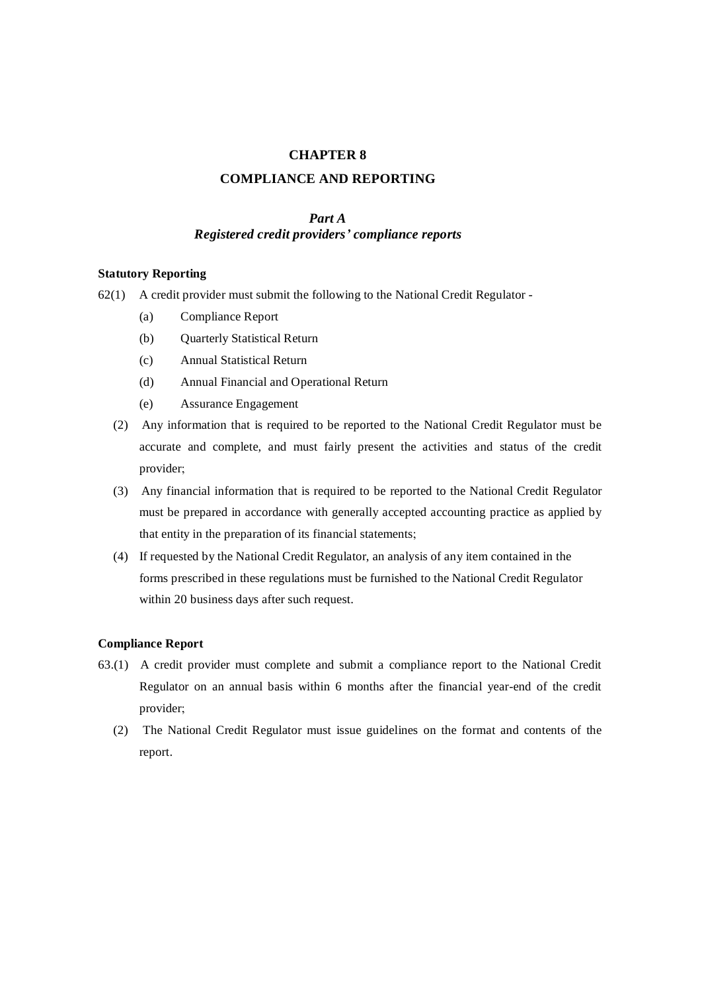# **CHAPTER 8**

## **COMPLIANCE AND REPORTING**

### *Part A*

# *Registered credit providers' compliance reports*

### **Statutory Reporting**

- 62(1) A credit provider must submit the following to the National Credit Regulator
	- (a) Compliance Report
	- (b) Quarterly Statistical Return
	- (c) Annual Statistical Return
	- (d) Annual Financial and Operational Return
	- (e) Assurance Engagement
	- (2) Any information that is required to be reported to the National Credit Regulator must be accurate and complete, and must fairly present the activities and status of the credit provider;
	- (3) Any financial information that is required to be reported to the National Credit Regulator must be prepared in accordance with generally accepted accounting practice as applied by that entity in the preparation of its financial statements;
	- (4) If requested by the National Credit Regulator, an analysis of any item contained in the forms prescribed in these regulations must be furnished to the National Credit Regulator within 20 business days after such request.

### **Compliance Report**

- 63.(1) A credit provider must complete and submit a compliance report to the National Credit Regulator on an annual basis within 6 months after the financial year-end of the credit provider;
	- (2) The National Credit Regulator must issue guidelines on the format and contents of the report.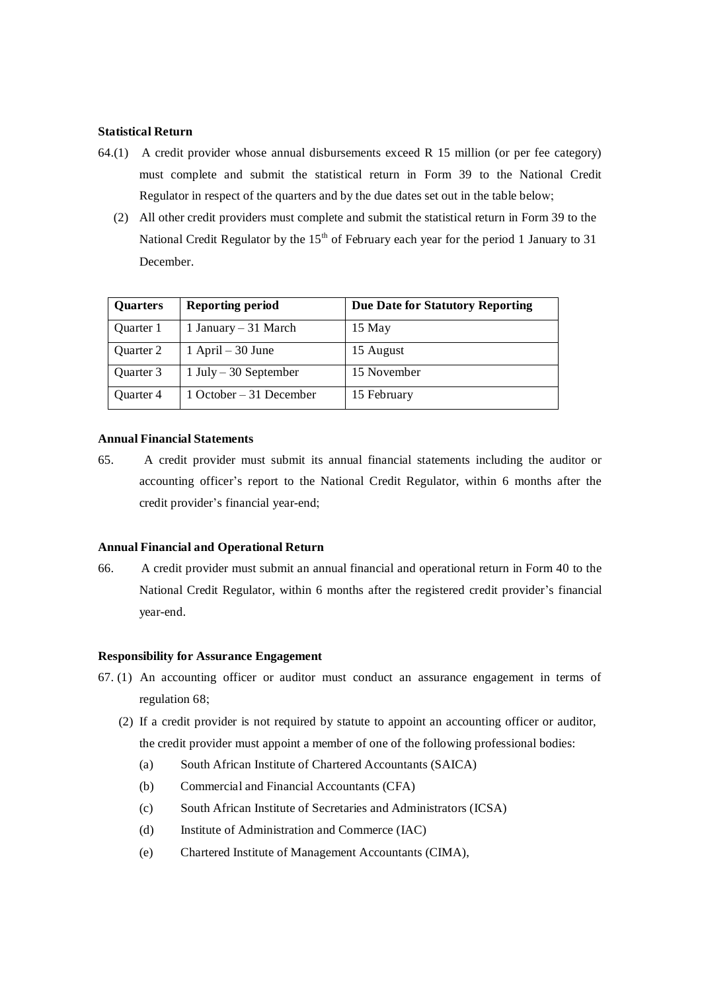#### **Statistical Return**

- 64.(1) A credit provider whose annual disbursements exceed R 15 million (or per fee category) must complete and submit the statistical return in Form 39 to the National Credit Regulator in respect of the quarters and by the due dates set out in the table below;
	- (2) All other credit providers must complete and submit the statistical return in Form 39 to the National Credit Regulator by the  $15<sup>th</sup>$  of February each year for the period 1 January to 31 December.

| <b>Quarters</b> | <b>Reporting period</b> | Due Date for Statutory Reporting |
|-----------------|-------------------------|----------------------------------|
| Quarter 1       | 1 January – 31 March    | 15 May                           |
| Quarter 2       | $1$ April – 30 June     | 15 August                        |
| Quarter 3       | $1$ July – 30 September | 15 November                      |
| Quarter 4       | 1 October – 31 December | 15 February                      |

### **Annual Financial Statements**

65. A credit provider must submit its annual financial statements including the auditor or accounting officer's report to the National Credit Regulator, within 6 months after the credit provider's financial year-end;

#### **Annual Financial and Operational Return**

66. A credit provider must submit an annual financial and operational return in Form 40 to the National Credit Regulator, within 6 months after the registered credit provider's financial year-end.

### **Responsibility for Assurance Engagement**

- 67. (1) An accounting officer or auditor must conduct an assurance engagement in terms of regulation 68;
	- (2) If a credit provider is not required by statute to appoint an accounting officer or auditor, the credit provider must appoint a member of one of the following professional bodies:
		- (a) South African Institute of Chartered Accountants (SAICA)
		- (b) Commercial and Financial Accountants (CFA)
		- (c) South African Institute of Secretaries and Administrators (ICSA)
		- (d) Institute of Administration and Commerce (IAC)
		- (e) Chartered Institute of Management Accountants (CIMA),